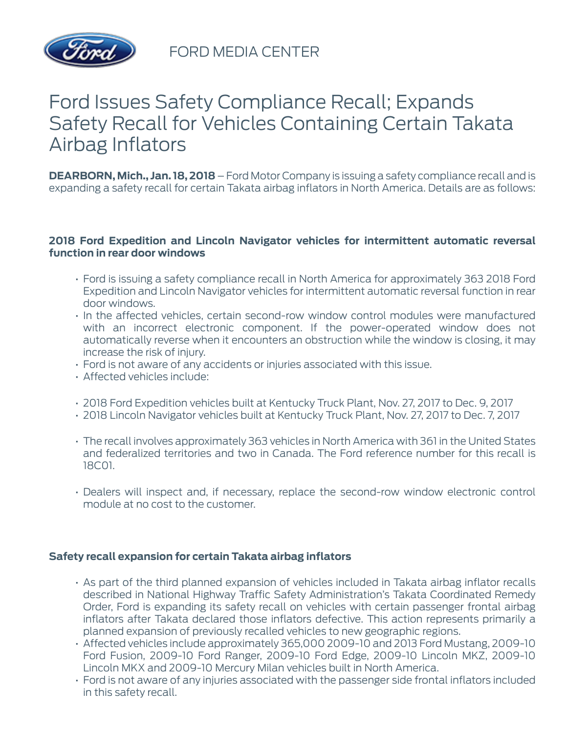

FORD MEDIA CENTER

## Ford Issues Safety Compliance Recall; Expands Safety Recall for Vehicles Containing Certain Takata Airbag Inflators

**DEARBORN, Mich., Jan. 18, 2018** – Ford Motor Company is issuing a safety compliance recall and is expanding a safety recall for certain Takata airbag inflators in North America. Details are as follows:

## **2018 Ford Expedition and Lincoln Navigator vehicles for intermittent automatic reversal function in rear door windows**

- Ford is issuing a safety compliance recall in North America for approximately 363 2018 Ford Expedition and Lincoln Navigator vehicles for intermittent automatic reversal function in rear door windows.
- In the affected vehicles, certain second-row window control modules were manufactured with an incorrect electronic component. If the power-operated window does not automatically reverse when it encounters an obstruction while the window is closing, it may increase the risk of injury.
- Ford is not aware of any accidents or injuries associated with this issue.
- Affected vehicles include:
- 2018 Ford Expedition vehicles built at Kentucky Truck Plant, Nov. 27, 2017 to Dec. 9, 2017
- 2018 Lincoln Navigator vehicles built at Kentucky Truck Plant, Nov. 27, 2017 to Dec. 7, 2017
- The recall involves approximately 363 vehicles in North America with 361 in the United States and federalized territories and two in Canada. The Ford reference number for this recall is 18C01.
- Dealers will inspect and, if necessary, replace the second-row window electronic control module at no cost to the customer.

## **Safety recall expansion for certain Takata airbag inflators**

- As part of the third planned expansion of vehicles included in Takata airbag inflator recalls described in National Highway Traffic Safety Administration's Takata Coordinated Remedy Order, Ford is expanding its safety recall on vehicles with certain passenger frontal airbag inflators after Takata declared those inflators defective. This action represents primarily a planned expansion of previously recalled vehicles to new geographic regions.
- Affected vehicles include approximately 365,000 2009-10 and 2013 Ford Mustang, 2009-10 Ford Fusion, 2009-10 Ford Ranger, 2009-10 Ford Edge, 2009-10 Lincoln MKZ, 2009-10 Lincoln MKX and 2009-10 Mercury Milan vehicles built in North America.
- Ford is not aware of any injuries associated with the passenger side frontal inflators included in this safety recall.